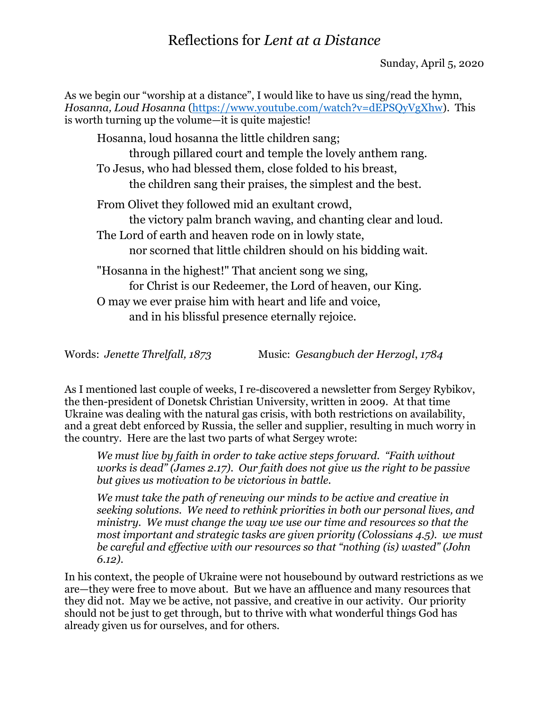# Reflections for *Lent at a Distance*

As we begin our "worship at a distance", I would like to have us sing/read the hymn, *Hosanna, Loud Hosanna* [\(https://www.youtube.com/watch?v=dEPSQyVgXhw\)](https://www.youtube.com/watch?v=dEPSQyVgXhw). This is worth turning up the volume—it is quite majestic!

Hosanna, loud hosanna the little children sang; through pillared court and temple the lovely anthem rang. To Jesus, who had blessed them, close folded to his breast, the children sang their praises, the simplest and the best. From Olivet they followed mid an exultant crowd, the victory palm branch waving, and chanting clear and loud. The Lord of earth and heaven rode on in lowly state, nor scorned that little children should on his bidding wait. "Hosanna in the highest!" That ancient song we sing, for Christ is our Redeemer, the Lord of heaven, our King. O may we ever praise him with heart and life and voice, and in his blissful presence eternally rejoice.

Words: *Jenette Threlfall, 1873* Music: *Gesangbuch der Herzogl*, *1784*

As I mentioned last couple of weeks, I re-discovered a newsletter from Sergey Rybikov, the then-president of Donetsk Christian University, written in 2009. At that time Ukraine was dealing with the natural gas crisis, with both restrictions on availability, and a great debt enforced by Russia, the seller and supplier, resulting in much worry in the country. Here are the last two parts of what Sergey wrote:

*We must live by faith in order to take active steps forward. "Faith without works is dead" (James 2.17). Our faith does not give us the right to be passive but gives us motivation to be victorious in battle.*

*We must take the path of renewing our minds to be active and creative in seeking solutions. We need to rethink priorities in both our personal lives, and ministry. We must change the way we use our time and resources so that the most important and strategic tasks are given priority (Colossians 4.5). we must be careful and effective with our resources so that "nothing (is) wasted" (John 6.12).*

In his context, the people of Ukraine were not housebound by outward restrictions as we are—they were free to move about. But we have an affluence and many resources that they did not. May we be active, not passive, and creative in our activity. Our priority should not be just to get through, but to thrive with what wonderful things God has already given us for ourselves, and for others.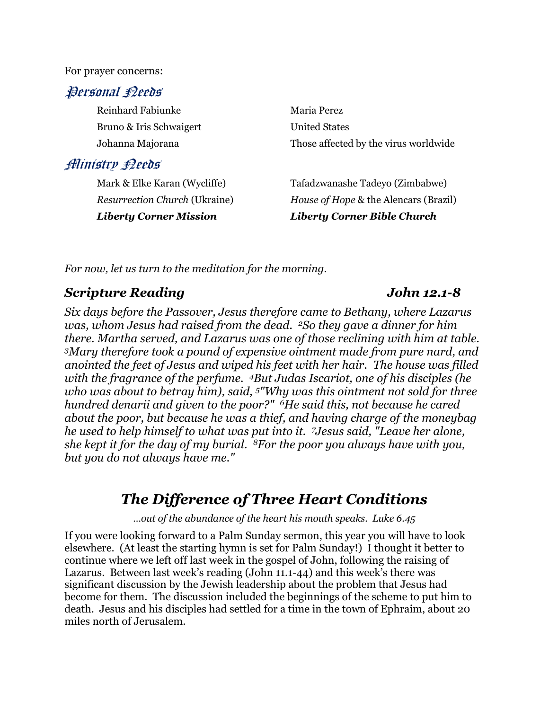For prayer concerns:

### Personal Peeds

Reinhard Fabiunke Maria Perez Bruno & Iris Schwaigert United States

## Ministry Needs

Johanna Majorana Those affected by the virus worldwide

Mark & Elke Karan (Wycliffe) Tafadzwanashe Tadeyo (Zimbabwe) *Resurrection Church* (Ukraine) *House of Hope* & the Alencars (Brazil) *Liberty Corner Mission Liberty Corner Bible Church*

*For now, let us turn to the meditation for the morning.*

## *Scripture Reading John 12.1-8*

*Six days before the Passover, Jesus therefore came to Bethany, where Lazarus was, whom Jesus had raised from the dead. 2So they gave a dinner for him there. Martha served, and Lazarus was one of those reclining with him at table. <sup>3</sup>Mary therefore took a pound of expensive ointment made from pure nard, and anointed the feet of Jesus and wiped his feet with her hair. The house was filled with the fragrance of the perfume. 4But Judas Iscariot, one of his disciples (he who was about to betray him), said, 5"Why was this ointment not sold for three hundred denarii and given to the poor?" 6He said this, not because he cared about the poor, but because he was a thief, and having charge of the moneybag he used to help himself to what was put into it. <sup>7</sup>Jesus said, "Leave her alone, she kept it for the day of my burial. <sup>8</sup>For the poor you always have with you, but you do not always have me."*

# *The Difference of Three Heart Conditions*

*…out of the abundance of the heart his mouth speaks. Luke 6.45*

If you were looking forward to a Palm Sunday sermon, this year you will have to look elsewhere. (At least the starting hymn is set for Palm Sunday!) I thought it better to continue where we left off last week in the gospel of John, following the raising of Lazarus. Between last week's reading (John 11.1-44) and this week's there was significant discussion by the Jewish leadership about the problem that Jesus had become for them. The discussion included the beginnings of the scheme to put him to death. Jesus and his disciples had settled for a time in the town of Ephraim, about 20 miles north of Jerusalem.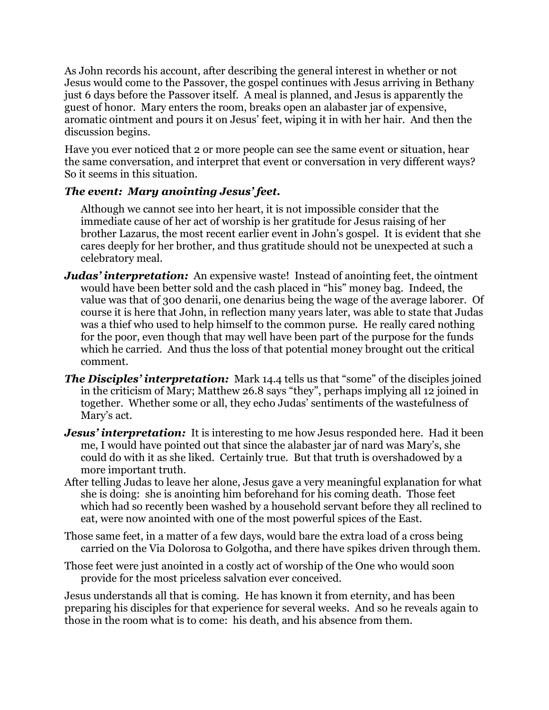As John records his account, after describing the general interest in whether or not Jesus would come to the Passover, the gospel continues with Jesus arriving in Bethany just 6 days before the Passover itself. A meal is planned, and Jesus is apparently the guest of honor. Mary enters the room, breaks open an alabaster jar of expensive, aromatic ointment and pours it on Jesus' feet, wiping it in with her hair. And then the discussion begins.

Have you ever noticed that 2 or more people can see the same event or situation, hear the same conversation, and interpret that event or conversation in very different ways? So it seems in this situation.

### *The event: Mary anointing Jesus' feet.*

Although we cannot see into her heart, it is not impossible consider that the immediate cause of her act of worship is her gratitude for Jesus raising of her brother Lazarus, the most recent earlier event in John's gospel. It is evident that she cares deeply for her brother, and thus gratitude should not be unexpected at such a celebratory meal.

- *Judas' interpretation:* An expensive waste! Instead of anointing feet, the ointment would have been better sold and the cash placed in "his" money bag. Indeed, the value was that of 300 denarii, one denarius being the wage of the average laborer. Of course it is here that John, in reflection many years later, was able to state that Judas was a thief who used to help himself to the common purse. He really cared nothing for the poor, even though that may well have been part of the purpose for the funds which he carried. And thus the loss of that potential money brought out the critical comment.
- *The Disciples' interpretation:* Mark 14.4 tells us that "some" of the disciples joined in the criticism of Mary; Matthew 26.8 says "they", perhaps implying all 12 joined in together. Whether some or all, they echo Judas' sentiments of the wastefulness of Mary's act.
- *Jesus' interpretation:* It is interesting to me how Jesus responded here. Had it been me, I would have pointed out that since the alabaster jar of nard was Mary's, she could do with it as she liked. Certainly true. But that truth is overshadowed by a more important truth.
- After telling Judas to leave her alone, Jesus gave a very meaningful explanation for what she is doing: she is anointing him beforehand for his coming death. Those feet which had so recently been washed by a household servant before they all reclined to eat, were now anointed with one of the most powerful spices of the East.
- Those same feet, in a matter of a few days, would bare the extra load of a cross being carried on the Via Dolorosa to Golgotha, and there have spikes driven through them.
- Those feet were just anointed in a costly act of worship of the One who would soon provide for the most priceless salvation ever conceived.

Jesus understands all that is coming. He has known it from eternity, and has been preparing his disciples for that experience for several weeks. And so he reveals again to those in the room what is to come: his death, and his absence from them.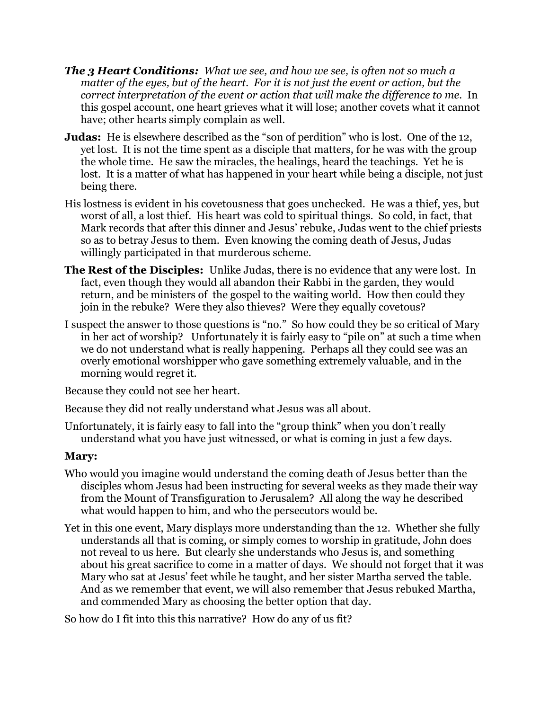- *The 3 Heart Conditions: What we see, and how we see, is often not so much a matter of the eyes, but of the heart. For it is not just the event or action, but the correct interpretation of the event or action that will make the difference to me.* In this gospel account, one heart grieves what it will lose; another covets what it cannot have; other hearts simply complain as well.
- **Judas:** He is elsewhere described as the "son of perdition" who is lost. One of the 12, yet lost. It is not the time spent as a disciple that matters, for he was with the group the whole time. He saw the miracles, the healings, heard the teachings. Yet he is lost. It is a matter of what has happened in your heart while being a disciple, not just being there.
- His lostness is evident in his covetousness that goes unchecked. He was a thief, yes, but worst of all, a lost thief. His heart was cold to spiritual things. So cold, in fact, that Mark records that after this dinner and Jesus' rebuke, Judas went to the chief priests so as to betray Jesus to them. Even knowing the coming death of Jesus, Judas willingly participated in that murderous scheme.
- **The Rest of the Disciples:** Unlike Judas, there is no evidence that any were lost. In fact, even though they would all abandon their Rabbi in the garden, they would return, and be ministers of the gospel to the waiting world. How then could they join in the rebuke? Were they also thieves? Were they equally covetous?
- I suspect the answer to those questions is "no." So how could they be so critical of Mary in her act of worship? Unfortunately it is fairly easy to "pile on" at such a time when we do not understand what is really happening. Perhaps all they could see was an overly emotional worshipper who gave something extremely valuable, and in the morning would regret it.

Because they could not see her heart.

Because they did not really understand what Jesus was all about.

Unfortunately, it is fairly easy to fall into the "group think" when you don't really understand what you have just witnessed, or what is coming in just a few days.

### **Mary:**

- Who would you imagine would understand the coming death of Jesus better than the disciples whom Jesus had been instructing for several weeks as they made their way from the Mount of Transfiguration to Jerusalem? All along the way he described what would happen to him, and who the persecutors would be.
- Yet in this one event, Mary displays more understanding than the 12. Whether she fully understands all that is coming, or simply comes to worship in gratitude, John does not reveal to us here. But clearly she understands who Jesus is, and something about his great sacrifice to come in a matter of days. We should not forget that it was Mary who sat at Jesus' feet while he taught, and her sister Martha served the table. And as we remember that event, we will also remember that Jesus rebuked Martha, and commended Mary as choosing the better option that day.

So how do I fit into this this narrative? How do any of us fit?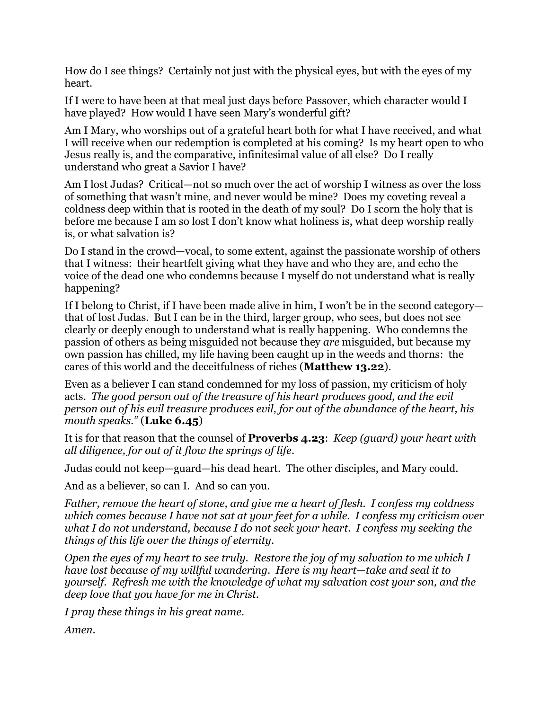How do I see things? Certainly not just with the physical eyes, but with the eyes of my heart.

If I were to have been at that meal just days before Passover, which character would I have played? How would I have seen Mary's wonderful gift?

Am I Mary, who worships out of a grateful heart both for what I have received, and what I will receive when our redemption is completed at his coming? Is my heart open to who Jesus really is, and the comparative, infinitesimal value of all else? Do I really understand who great a Savior I have?

Am I lost Judas? Critical—not so much over the act of worship I witness as over the loss of something that wasn't mine, and never would be mine? Does my coveting reveal a coldness deep within that is rooted in the death of my soul? Do I scorn the holy that is before me because I am so lost I don't know what holiness is, what deep worship really is, or what salvation is?

Do I stand in the crowd—vocal, to some extent, against the passionate worship of others that I witness: their heartfelt giving what they have and who they are, and echo the voice of the dead one who condemns because I myself do not understand what is really happening?

If I belong to Christ, if I have been made alive in him, I won't be in the second category that of lost Judas. But I can be in the third, larger group, who sees, but does not see clearly or deeply enough to understand what is really happening. Who condemns the passion of others as being misguided not because they *are* misguided, but because my own passion has chilled, my life having been caught up in the weeds and thorns: the cares of this world and the deceitfulness of riches (**Matthew 13.22**).

Even as a believer I can stand condemned for my loss of passion, my criticism of holy acts. *The good person out of the treasure of his heart produces good, and the evil person out of his evil treasure produces evil, for out of the abundance of the heart, his mouth speaks."* (**Luke 6.45**)

It is for that reason that the counsel of **Proverbs 4.23**: *Keep (guard) your heart with all diligence, for out of it flow the springs of life*.

Judas could not keep—guard—his dead heart. The other disciples, and Mary could.

And as a believer, so can I. And so can you.

*Father, remove the heart of stone, and give me a heart of flesh. I confess my coldness which comes because I have not sat at your feet for a while. I confess my criticism over what I do not understand, because I do not seek your heart. I confess my seeking the things of this life over the things of eternity.* 

*Open the eyes of my heart to see truly. Restore the joy of my salvation to me which I have lost because of my willful wandering. Here is my heart—take and seal it to yourself. Refresh me with the knowledge of what my salvation cost your son, and the deep love that you have for me in Christ.*

*I pray these things in his great name.*

*Amen.*